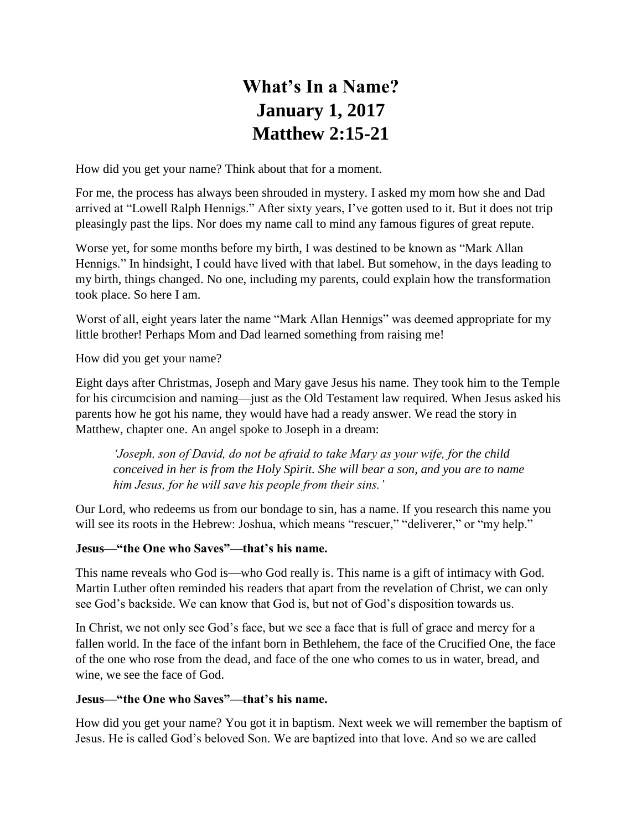# **What's In a Name? January 1, 2017 Matthew 2:15-21**

How did you get your name? Think about that for a moment.

For me, the process has always been shrouded in mystery. I asked my mom how she and Dad arrived at "Lowell Ralph Hennigs." After sixty years, I've gotten used to it. But it does not trip pleasingly past the lips. Nor does my name call to mind any famous figures of great repute.

Worse yet, for some months before my birth, I was destined to be known as "Mark Allan Hennigs." In hindsight, I could have lived with that label. But somehow, in the days leading to my birth, things changed. No one, including my parents, could explain how the transformation took place. So here I am.

Worst of all, eight years later the name "Mark Allan Hennigs" was deemed appropriate for my little brother! Perhaps Mom and Dad learned something from raising me!

How did you get your name?

Eight days after Christmas, Joseph and Mary gave Jesus his name. They took him to the Temple for his circumcision and naming—just as the Old Testament law required. When Jesus asked his parents how he got his name, they would have had a ready answer. We read the story in Matthew, chapter one. An angel spoke to Joseph in a dream:

*'Joseph, son of David, do not be afraid to take Mary as your wife, for the child conceived in her is from the Holy Spirit. She will bear a son, and you are to name him Jesus, for he will save his people from their sins.'*

Our Lord, who redeems us from our bondage to sin, has a name. If you research this name you will see its roots in the Hebrew: Joshua, which means "rescuer," "deliverer," or "my help."

#### **Jesus—"the One who Saves"—that's his name.**

This name reveals who God is—who God really is. This name is a gift of intimacy with God. Martin Luther often reminded his readers that apart from the revelation of Christ, we can only see God's backside. We can know that God is, but not of God's disposition towards us.

In Christ, we not only see God's face, but we see a face that is full of grace and mercy for a fallen world. In the face of the infant born in Bethlehem, the face of the Crucified One, the face of the one who rose from the dead, and face of the one who comes to us in water, bread, and wine, we see the face of God.

#### **Jesus—"the One who Saves"—that's his name.**

How did you get your name? You got it in baptism. Next week we will remember the baptism of Jesus. He is called God's beloved Son. We are baptized into that love. And so we are called